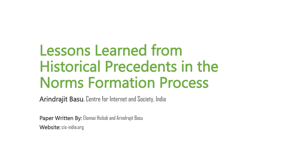### Lessons Learned from Historical Precedents in the Norms Formation Process

Arindrajit Basu, Centre for Internet and Society, India

Paper Written By: Elonnai Hickok and Arindrajit Basu Website: cis-india.org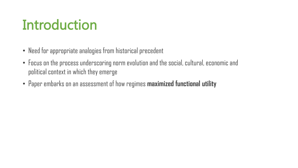## Introduction

- Need for appropriate analogies from historical precedent
- Focus on the process underscoring norm evolution and the social, cultural, economic and political context in which they emerge
- Paper embarks on an assessment of how regimes **maximized functional utility**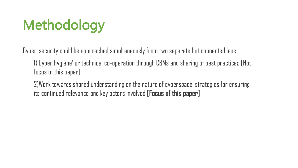# Methodology

Cyber-security could be approached simultaneously from two separate but connected lens

1)'Cyber hygiene' or technical co-operation through CBMs and sharing of best practices [Not focus of this paper]

2)Work towards shared understanding on the nature of cyberspace; strategies for ensuring its continued relevance and key actors involved [**Focus of this paper**]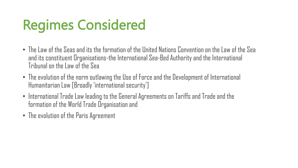# Regimes Considered

- The Law of the Seas and its the formation of the United Nations Convention on the Law of the Sea and its constituent Organisations-the International Sea-Bed Authority and the International Tribunal on the Law of the Sea
- The evolution of the norm outlawing the Use of Force and the Development of International Humanitarian Law [Broadly 'international security']
- International Trade Law leading to the General Agreements on Tariffs and Trade and the formation of the World Trade Organisation and
- The evolution of the Paris Agreement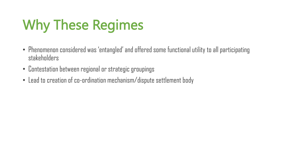# Why These Regimes

- Phenomenon considered was 'entangled' and offered some functional utility to all participating stakeholders
- Contestation between regional or strategic groupings
- Lead to creation of co-ordination mechanism/dispute settlement body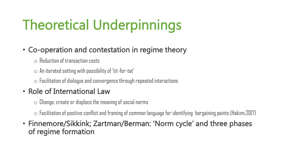# Theoretical Underpinnings

#### • Co-operation and contestation in regime theory

- o Reduction of transaction costs
- $\circ$  An iterated setting with possibility of 'tit-for-tat'
- $\circ$  Facilitation of dialogue and convergence through repeated interactions

#### • Role of International Law

 $\circ$  Change, create or displace the meaning of social norms

 $\circ$  Facilitation of positive conflict and framing of common language for identifying bargaining points (Hakimi,2017)

• Finnemore/Sikkink; Zartman/Berman: 'Norm cycle' and three phases of regime formation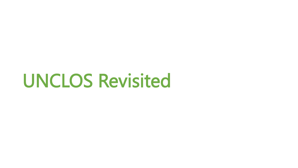# UNCLOS Revisited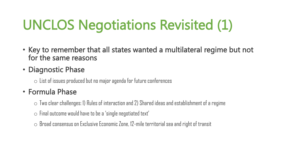# UNCLOS Negotiations Revisited (1)

- Key to remember that all states wanted a multilateral regime but not for the same reasons
- Diagnostic Phase

 $\circ$  List of issues produced but no major agenda for future conferences

- Formula Phase
	- $\circ$  Two clear challenges: 1) Rules of interaction and 2) Shared ideas and establishment of a regime
	- $\circ$  Final outcome would have to be a 'single negotiated text'
	- $\circ$  Broad consensus on Exclusive Economic Zone, 12-mile territorial sea and right of transit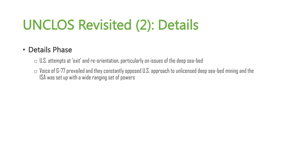# UNCLOS Revisited (2): Details

#### • Details Phase

- $\circ$  U.S. attempts at 'exit' and re-orientation, particularly on issues of the deep sea-bed
- $\circ$  Voice of G-77 prevailed and they constantly opposed U.S. approach to unlicensed deep sea-bed mining and the ISA was set up with a wide ranging set of powers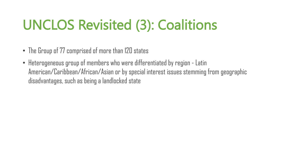# UNCLOS Revisited (3): Coalitions

- The Group of 77 comprised of more than 120 states
- Heterogeneous group of members who were differentiated by region Latin American/Caribbean/African/Asian or by special interest issues stemming from geographic disadvantages, such as being a landlocked state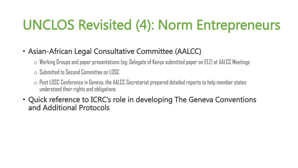### UNCLOS Revisited (4): Norm Entrepreneurs

#### • Asian-African Legal Consultative Committee (AALCC)

- $\circ$  Working Groups and paper presentations (eg: Delegate of Kenya submitted paper on EEZ) at AALCC Meetings
- $\circ$  Submitted to Second Committee on LOSC
- $\circ$  Post LOSC Conference in Geneva, the AALCC Secretariat prepared detailed reports to help member states understand their rights and obligations
- Quick reference to ICRC's role in developing The Geneva Conventions and Additional Protocols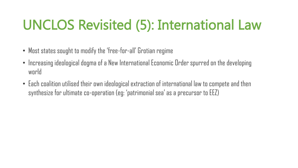## UNCLOS Revisited (5): International Law

- Most states sought to modify the 'free-for-all' Grotian regime
- Increasing ideological dogma of a New International Economic Order spurred on the developing world
- Each coalition utilised their own ideological extraction of international law to compete and then synthesize for ultimate co-operation (eg: 'patrimonial sea' as a precursor to EEZ)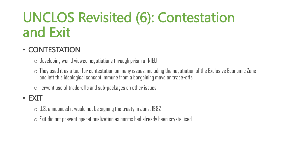### UNCLOS Revisited (6): Contestation and Exit

#### • CONTESTATION

 $\circ$  Developing world viewed negotiations through prism of NIEO

 $\circ$  They used it as a tool for contestation on many issues, including the negotiation of the Exclusive Economic Zone and left this ideological concept immune from a bargaining move or trade-offs

 $\circ$  Fervent use of trade-offs and sub-packages on other issues

#### • EXIT

 $\circ$  U.S. announced it would not be signing the treaty in June, 1982

 $\circ$  Exit did not prevent operationalization as norms had already been crystallised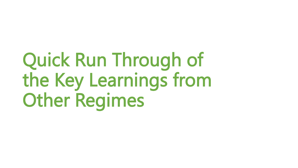# Quick Run Through of the Key Learnings from Other Regimes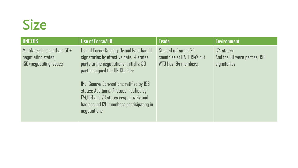### Size

| <b>UNCLOS</b>                                                                | <b>Use of Force/IHL</b>                                                                                                                                                                                                                                                                                                                                             | <b>Trade</b>                                                              | <b>Environment</b>                                        |
|------------------------------------------------------------------------------|---------------------------------------------------------------------------------------------------------------------------------------------------------------------------------------------------------------------------------------------------------------------------------------------------------------------------------------------------------------------|---------------------------------------------------------------------------|-----------------------------------------------------------|
| Multilateral-more than 150+<br>negotiating states,<br>150+negotiating issues | Use of Force: Kellogg-Briand Pact had 31<br>signatories by effective date; 14 states<br>party to the negotiations. Initially, 50<br>parties signed the UN Charter<br><b>IHL:</b> Geneva Conventions ratified by 196<br>states; Additional Protocol ratified by<br>174,168 and 73 states respectively and<br>had around 120 members participating in<br>negotiations | Started off small-23<br>countries at GATT 1947 but<br>WTO has 164 members | 174 states<br>And the EU were parties; 196<br>signatories |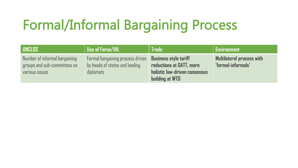# Formal/Informal Bargaining Process

| <b>UNCLOS</b>                                                                   | Use of Force/IHL                                                                | <b>Trade</b>                                                                                                        | <b>Environment</b>                                     |
|---------------------------------------------------------------------------------|---------------------------------------------------------------------------------|---------------------------------------------------------------------------------------------------------------------|--------------------------------------------------------|
| Number of informal bargaining<br>groups and sub-committees on<br>various issues | Formal bargaining process driven<br>by heads of states and leading<br>diplomats | <b>Business style tariff</b><br>reductions at GATT, more<br>holistic law-driven consensus<br><b>building at WTO</b> | <b>Multilateral process with</b><br>"formal-informals" |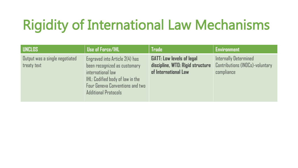# Rigidity of International Law Mechanisms

| <b>UNCLOS</b>                                 | <b>Use of Force/IHL</b>                                                                                                                                                                   | Trade                                                                                        | <b>Environment</b>                                                     |
|-----------------------------------------------|-------------------------------------------------------------------------------------------------------------------------------------------------------------------------------------------|----------------------------------------------------------------------------------------------|------------------------------------------------------------------------|
| Output was a single negotiated<br>treaty text | Engraved into Article 2(4) has<br>been recognized as customary<br>international law<br>IHL: Codified body of law in the<br>Four Geneva Conventions and two<br><b>Additional Protocols</b> | <b>GATT: Low levels of legal</b><br>discipline, WTO: Rigid structure<br>of International Law | Internally Determined<br>Contributions (INDCs)-voluntary<br>compliance |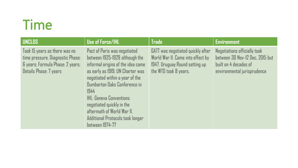### Time

| <b>UNCLOS</b>                                                                                                                   | <b>Use of Force/IHL</b>                                                                                                                                                                                                                                                                                                                                                       | <b>Trade</b>                                                                                                                      | <b>Environment</b>                                                                                                      |
|---------------------------------------------------------------------------------------------------------------------------------|-------------------------------------------------------------------------------------------------------------------------------------------------------------------------------------------------------------------------------------------------------------------------------------------------------------------------------------------------------------------------------|-----------------------------------------------------------------------------------------------------------------------------------|-------------------------------------------------------------------------------------------------------------------------|
| Took 15 years as there was no<br>time pressure. Diagnostic Phase:<br>6 years; Formula Phase: 2 years;<br>Details Phase: 7 years | Pact of Paris was negotiated<br>between 1925-1929 although the<br>informal origins of the idea came<br>as early as 1919; UN Charter was<br>negotiated within a year of the<br>Dumbarton Daks Conference in<br>1944<br><b>IHL: Geneva Conventions</b><br>negotiated quickly in the<br>aftermath of World War II.<br>Additional Protocols took longer<br><b>between 1974-77</b> | GATT was negotiated quickly after<br>World War II. Came into effect by<br>1947. Uruguay Round setting up<br>the WTO took 8 years. | Negotiations officially took<br>between 30 Nov-12 Dec, 2015 but<br>built on 4 decades of<br>environmental jurisprudence |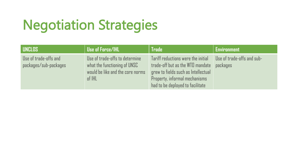# Negotiation Strategies

| <b>UNCLOS</b>                                  | <b>Use of Force/IHL</b>                                                                                      | <b>Trade</b>                                                                                                                                                                       | <b>Environment</b>                     |
|------------------------------------------------|--------------------------------------------------------------------------------------------------------------|------------------------------------------------------------------------------------------------------------------------------------------------------------------------------------|----------------------------------------|
| Use of trade-offs and<br>packages/sub-packages | Use of trade-offs to determine<br>what the functioning of UNSC<br>would be like and the core norms<br>of IHL | Tariff reductions were the initial<br>trade-off but as the WTO mandate<br>grew to fields such as Intellectual<br>Property, informal mechanisms<br>had to be deployed to facilitate | Use of trade-offs and sub-<br>packages |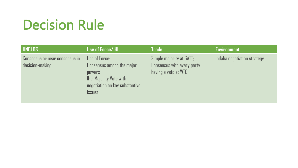## Decision Rule

| <b>UNCLOS</b>                                     | <b>Use of Force/IHL</b>                                                                                                                          | Trade                                                                          | <b>Environment</b>          |
|---------------------------------------------------|--------------------------------------------------------------------------------------------------------------------------------------------------|--------------------------------------------------------------------------------|-----------------------------|
| Consensus or near consensus in<br>decision-making | Use of Force:<br>Consensus among the major<br><b>POWERS</b><br><b>IHL: Majority Vote with</b><br>negotiation on key substantive<br><b>issues</b> | Simple majority at GATT;<br>Consensus with every party<br>having a veto at WTO | Indaba negotiation strategy |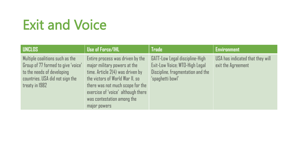# Exit and Voice

| <b>UNCLOS</b>                                                                                                                                            | Use of Force/IHL                                                                                                                                                                                                                                                  | <b>Trade</b>                                                                                                              | <b>Environment</b>                                     |
|----------------------------------------------------------------------------------------------------------------------------------------------------------|-------------------------------------------------------------------------------------------------------------------------------------------------------------------------------------------------------------------------------------------------------------------|---------------------------------------------------------------------------------------------------------------------------|--------------------------------------------------------|
| Multiple coalitions such as the<br>Group of 77 formed to give 'voice'<br>to the needs of developing<br>countries. USA did not sign the<br>treaty in 1982 | Entire process was driven by the<br>major military powers at the<br>time. Article $2(4)$ was driven by<br>the victors of World War II, so<br>there was not much scope for the<br>exercise of 'voice' although there<br>was contestation among the<br>major powers | GATT-Low Legal discipline-High<br>Exit-Low Voice; WTO-High Legal<br>Discipline, fragmentation and the<br>'spaghetti bowl' | USA has indicated that they will<br>exit the Agreement |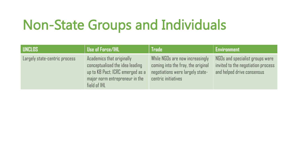### Non-State Groups and Individuals

| <b>UNCLOS</b>                 | <b>Use of Force/IHL</b>                                                                                                                            | <b>Trade</b>                                                                                                                     | <b>Environment</b>                                                                                  |
|-------------------------------|----------------------------------------------------------------------------------------------------------------------------------------------------|----------------------------------------------------------------------------------------------------------------------------------|-----------------------------------------------------------------------------------------------------|
| Largely state-centric process | Academics that originally<br>conceptualised the idea leading<br>up to KB Pact; ICRC emerged as a<br>major norm entrepreneur in the<br>field of IHL | While NGOs are now increasingly<br>coming into the fray, the original<br>negotiations were largely state-<br>centric initiatives | NGOs and specialist groups were<br>invited to the negotiation process<br>and helped drive consensus |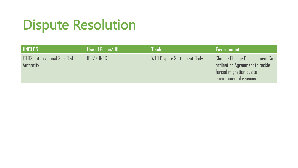# Dispute Resolution

| <b>LUNCLOS</b>                                    | <b>Use of Force/IHL</b> | <b>Trade</b>                | <b>Environment</b>                                                                                                    |
|---------------------------------------------------|-------------------------|-----------------------------|-----------------------------------------------------------------------------------------------------------------------|
| <b>ITLOS</b> ; International Sea-Bed<br>Authority | ICJ//UNSC               | WTO Dispute Settlement Body | Climate Change Displacement Co-<br>ordination Agreement to tackle<br>forced migration due to<br>environmental reasons |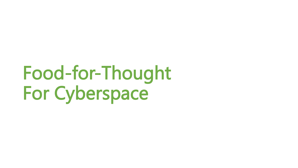# Food-for-Thought For Cyberspace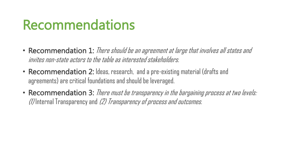### Recommendations

- Recommendation 1: There should be an agreement at large that involves all states and invites non-state actors to the table as interested stakeholders.
- Recommendation 2: Ideas, research, and a pre-existing material (drafts and agreements) are critical foundations and should be leveraged.
- Recommendation 3: There must be transparency in the bargaining process at two levels: (1) Internal Transparency and (2) Transparency of process and outcomes.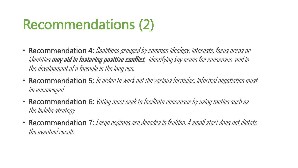### Recommendations (2)

- Recommendation 4: *Coalitions grouped by common ideology, interests, focus areas or* identities **may aid in fostering positive conflict**, identifying key areas for consensus and in the development of a formula in the long run.
- Recommendation 5: In arder to work out the various formulae, informal negotiation must be encouraged.
- Recommendation 6: Vating must seek to facilitate consensus by using tactics such as the Indaba strategy
- Recommendation 7: Large regimes are decades in fruition. A small start does not dictate the eventual result.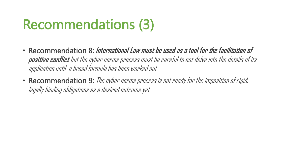### Recommendations (3)

- Recommendation 8: **International Law must be used as a tool for the facilitation of positive conflict** but the cyber norms process must be careful to not delve into the details of its application until a broad formula has been worked out
- Recommendation 9: The cyber norms process is not ready for the imposition of rigid, legally binding obligations as a desired outcome yet.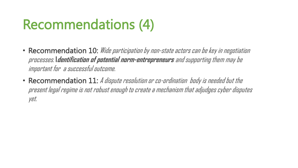### Recommendations (4)

- Recommendation 10: Wide participation by non-state actors can be key in negotiation processes. **Identification of potential norm-entrepreneurs** and supporting them may be important for a successful outcome.
- Recommendation 11: A dispute resolution or co-ordination body is needed but the present legal regime is not robust enough to create a mechanism that adjudges cyber disputes yet.